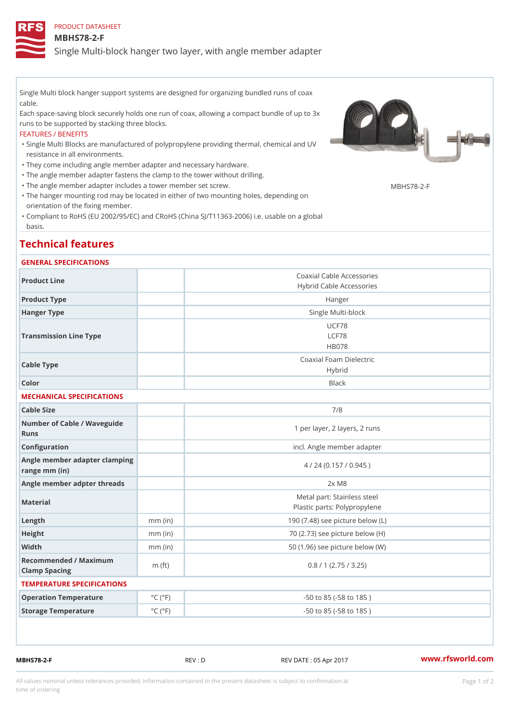PRODUCT DATASHEET

MBHS78-2-F

Single Multi-block hanger two layer, with angle member adapter

Single Multi block hanger support systems are designed for organizing bundled runs of coax cable.

Each space-saving block securely holds one run of coax, allowing a compact bundle of up to 3x runs to be supported by stacking three blocks.

## FEATURES / BENEFITS

Single Multi Blocks are manufactured of polypropylene providing thermal, chemical and UV " resistance in all environments.

"They come including angle member adapter and necessary hardware.

- "The angle member adapter fastens the clamp to the tower without drilling.
- "The angle member adapter includes a tower member set screw. MBHS78-2-F
- The hanger mounting rod may be located in either of two mounting holes, depending on " orientation of the fixing member.
- Compliant to RoHS (EU 2002/95/EC) and CRoHS (China SJ/T11363-2006) i.e. usable on a global " basis.

## Technical features

## GENERAL SPECIFICATIONS

| Product Line                                   |                             | Coaxial Cable Accessories<br>Hybrid Cable Accessories       |  |
|------------------------------------------------|-----------------------------|-------------------------------------------------------------|--|
| Product Type                                   |                             | Hanger                                                      |  |
| Hanger Type                                    |                             | Single Multi-block                                          |  |
| Transmission Line Type                         |                             | UCF78<br>LCF78<br><b>HB078</b>                              |  |
| Cable Type                                     |                             | Coaxial Foam Dielectric<br>Hybrid                           |  |
| Color                                          |                             | <b>Black</b>                                                |  |
| MECHANICAL SPECIFICATIONS                      |                             |                                                             |  |
| Cable Size                                     |                             | 7/8                                                         |  |
| Number of Cable / Wave guide<br>Runs           |                             | 1 per layer, 2 layers, 2 runs                               |  |
| Configuration                                  |                             | incl. Angle member adapter                                  |  |
| Angle member adapter clamping<br>range mm (in) |                             | 4 / 24 (0.157 / 0.945)                                      |  |
| Angle member adpter threads                    |                             | $2 \times M8$                                               |  |
| Material                                       |                             | Metal part: Stainless steel<br>Plastic parts: Polypropylene |  |
| $L$ ength                                      | $mm$ (in)                   | 190 (7.48) see picture below (L)                            |  |
| Height                                         | $mm$ (in)                   | 70 (2.73) see picture below (H)                             |  |
| Width                                          | $mm$ (in)                   | 50 (1.96) see picture below (W)                             |  |
| Recommended / Maximum<br>Clamp Spacing         | m $(ft)$                    | 0.8 / 1 (2.75 / 3.25)                                       |  |
| TEMPERATURE SPECIFICATIONS                     |                             |                                                             |  |
| Operation Temperature                          | $^{\circ}$ C ( $^{\circ}$ F | $-50$ to $85$ ( $-58$ to $185$ )                            |  |
| Storage Temperature                            | $^{\circ}$ C ( $^{\circ}$ F | $-50$ to $85$ ( $-58$ to $185$ )                            |  |
|                                                |                             |                                                             |  |

MBHS78-2-F REV : D REV DATE : 05 Apr 2017 [www.](https://www.rfsworld.com)rfsworld.com